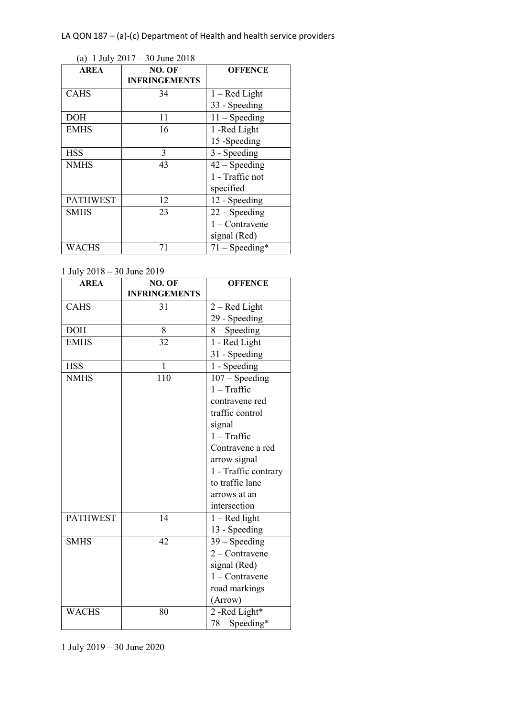|  |  | (a) 1 July $2017 - 30$ June $2018$ |
|--|--|------------------------------------|
|--|--|------------------------------------|

| $\mathbf{u}_1$ rowly<br><b>AREA</b> | NO. OF               | <b>OFFENCE</b>   |
|-------------------------------------|----------------------|------------------|
|                                     | <b>INFRINGEMENTS</b> |                  |
| CAHS                                | 34                   | $1 - Red Light$  |
|                                     |                      | 33 - Speeding    |
| <b>DOH</b>                          | 11                   | $11 -$ Speeding  |
| <b>EMHS</b>                         | 16                   | 1 -Red Light     |
|                                     |                      | 15 -Speeding     |
| <b>HSS</b>                          | 3                    | 3 - Speeding     |
| <b>NMHS</b>                         | 43                   | $42 - Speeding$  |
|                                     |                      | 1 - Traffic not  |
|                                     |                      | specified        |
| <b>PATHWEST</b>                     | 12                   | 12 - Speeding    |
| <b>SMHS</b>                         | 23                   | $22 -$ Speeding  |
|                                     |                      | $1 -$ Contravene |
|                                     |                      | signal (Red)     |
| WACHS                               | 71                   | $71 - Speeding*$ |

1 July 2018 – 30 June 2019

| <b>AREA</b>     | NO. OF               | <b>OFFENCE</b>       |  |  |
|-----------------|----------------------|----------------------|--|--|
|                 | <b>INFRINGEMENTS</b> |                      |  |  |
| <b>CAHS</b>     | 31                   | $2 - Red Light$      |  |  |
|                 |                      | 29 - Speeding        |  |  |
| <b>DOH</b>      | 8                    | $8 - Speeding$       |  |  |
| <b>EMHS</b>     | 32                   | 1 - Red Light        |  |  |
|                 |                      | 31 - Speeding        |  |  |
| <b>HSS</b>      | $\mathbf{1}$         | 1 - Speeding         |  |  |
| <b>NMHS</b>     | 110                  | $107 - Speeding$     |  |  |
|                 |                      | $1 - \text{Traffic}$ |  |  |
|                 |                      | contravene red       |  |  |
|                 |                      | traffic control      |  |  |
|                 |                      | signal               |  |  |
|                 |                      | $1 - \text{Traffic}$ |  |  |
|                 |                      | Contravene a red     |  |  |
|                 |                      | arrow signal         |  |  |
|                 |                      | 1 - Traffic contrary |  |  |
|                 |                      | to traffic lane      |  |  |
|                 |                      | arrows at an         |  |  |
|                 |                      | intersection         |  |  |
| <b>PATHWEST</b> | 14                   | $1 - Red$ light      |  |  |
|                 |                      | 13 - Speeding        |  |  |
| <b>SMHS</b>     | 42                   | $39 -$ Speeding      |  |  |
|                 |                      | $2$ – Contravene     |  |  |
|                 |                      | signal (Red)         |  |  |
|                 |                      | $1 -$ Contravene     |  |  |
|                 |                      | road markings        |  |  |
|                 |                      | (Arrow)              |  |  |
| <b>WACHS</b>    | 80                   | 2-Red Light*         |  |  |
|                 |                      | $78 - Speeding*$     |  |  |

1 July 2019 – 30 June 2020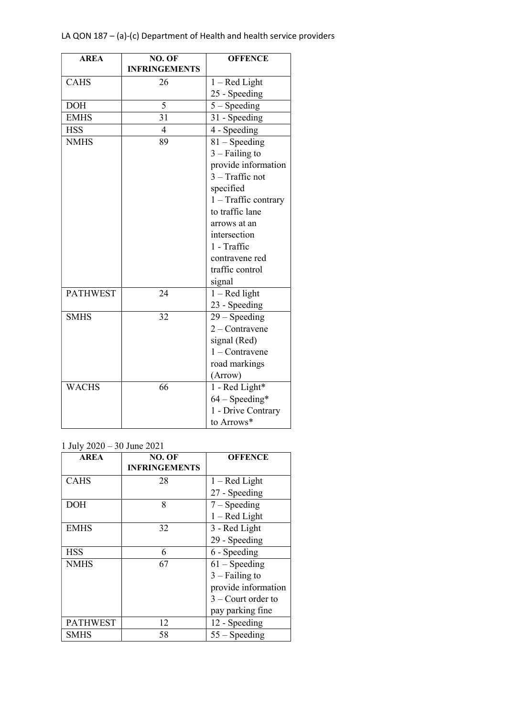| <b>AREA</b>     | NO. OF               | <b>OFFENCE</b>       |  |  |
|-----------------|----------------------|----------------------|--|--|
|                 | <b>INFRINGEMENTS</b> |                      |  |  |
| <b>CAHS</b>     | 26                   | $1 - Red Light$      |  |  |
|                 |                      | 25 - Speeding        |  |  |
| <b>DOH</b>      | 5                    | $5 -$ Speeding       |  |  |
| <b>EMHS</b>     | 31                   | 31 - Speeding        |  |  |
| <b>HSS</b>      | $\overline{4}$       | 4 - Speeding         |  |  |
| <b>NMHS</b>     | 89                   | $81 -$ Speeding      |  |  |
|                 |                      | $3 - Failing to$     |  |  |
|                 |                      | provide information  |  |  |
|                 |                      | $3 - Trafific$ not   |  |  |
|                 |                      | specified            |  |  |
|                 |                      | 1 - Traffic contrary |  |  |
|                 |                      | to traffic lane      |  |  |
|                 |                      | arrows at an         |  |  |
|                 |                      | intersection         |  |  |
|                 |                      | 1 - Traffic          |  |  |
|                 |                      | contravene red       |  |  |
|                 |                      | traffic control      |  |  |
|                 |                      | signal               |  |  |
| <b>PATHWEST</b> | 24                   | $1 - Red$ light      |  |  |
|                 |                      | 23 - Speeding        |  |  |
| <b>SMHS</b>     | 32                   | $29 -$ Speeding      |  |  |
|                 |                      | $2$ – Contravene     |  |  |
|                 |                      | signal (Red)         |  |  |
|                 |                      | $1 -$ Contravene     |  |  |
|                 |                      | road markings        |  |  |
|                 |                      | (Arrow)              |  |  |
| <b>WACHS</b>    | 66                   | 1 - Red Light*       |  |  |
|                 |                      | $64 - Speeding*$     |  |  |
|                 |                      | 1 - Drive Contrary   |  |  |
|                 |                      | to Arrows*           |  |  |

1 July 2020 – 30 June 2021

| <b>AREA</b>     | NO. OF               | <b>OFFENCE</b>       |
|-----------------|----------------------|----------------------|
|                 | <b>INFRINGEMENTS</b> |                      |
| <b>CAHS</b>     | 28                   | $1 - Red Light$      |
|                 |                      | 27 - Speeding        |
| <b>DOH</b>      | 8                    | $7 - Speeding$       |
|                 |                      | $1 - Red Light$      |
| <b>EMHS</b>     | 32                   | 3 - Red Light        |
|                 |                      | 29 - Speeding        |
| <b>HSS</b>      | 6                    | 6 - Speeding         |
| <b>NMHS</b>     | 67                   | $61 - Speeding$      |
|                 |                      | $3 - Failing to$     |
|                 |                      | provide information  |
|                 |                      | $3$ – Court order to |
|                 |                      | pay parking fine     |
| <b>PATHWEST</b> | 12                   | 12 - Speeding        |
| <b>SMHS</b>     | 58                   | $55 - Speeding$      |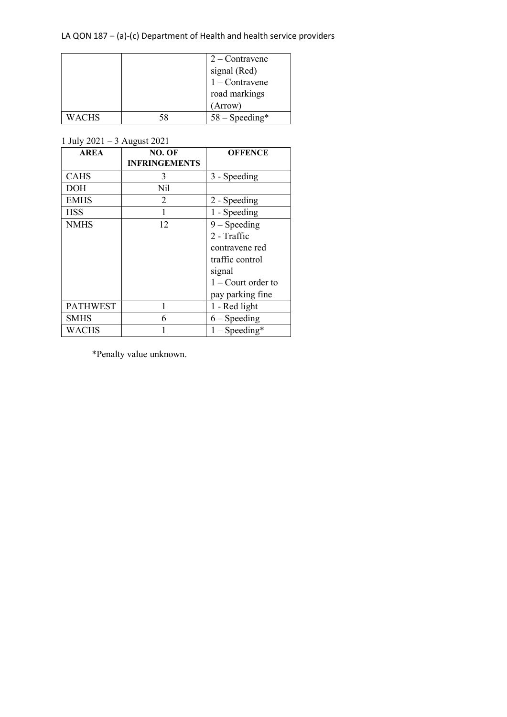|              |    | $2$ – Contravene |
|--------------|----|------------------|
|              |    | signal (Red)     |
|              |    | $1 -$ Contravene |
|              |    | road markings    |
|              |    | (Arrow)          |
| <b>WACHS</b> | 58 | $58 - Speeding*$ |

1 July 2021 – 3 August 2021

| <b>AREA</b>     | NO. OF               | <b>OFFENCE</b>       |
|-----------------|----------------------|----------------------|
|                 | <b>INFRINGEMENTS</b> |                      |
| <b>CAHS</b>     | 3                    | 3 - Speeding         |
| <b>DOH</b>      | Nil                  |                      |
| <b>EMHS</b>     | 2                    | 2 - Speeding         |
| <b>HSS</b>      |                      | 1 - Speeding         |
| <b>NMHS</b>     | 12                   | $9 - Speeding$       |
|                 |                      | 2 - Traffic          |
|                 |                      | contravene red       |
|                 |                      | traffic control      |
|                 |                      | signal               |
|                 |                      | $1 -$ Court order to |
|                 |                      | pay parking fine     |
| <b>PATHWEST</b> |                      | 1 - Red light        |
| <b>SMHS</b>     | 6                    | $6 -$ Speeding       |
| WACHS           |                      | $1 - Speeding*$      |

\*Penalty value unknown.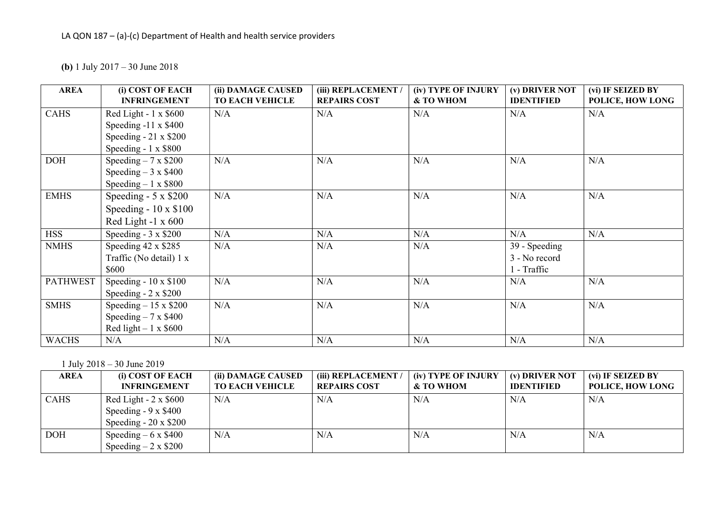(b) 1 July 2017 – 30 June 2018

| <b>AREA</b>     | (i) COST OF EACH            | (ii) DAMAGE CAUSED     | (iii) REPLACEMENT / | (iv) TYPE OF INJURY | (v) DRIVER NOT    | (vi) IF SEIZED BY |
|-----------------|-----------------------------|------------------------|---------------------|---------------------|-------------------|-------------------|
|                 | <b>INFRINGEMENT</b>         | <b>TO EACH VEHICLE</b> | <b>REPAIRS COST</b> | & TO WHOM           | <b>IDENTIFIED</b> | POLICE, HOW LONG  |
| <b>CAHS</b>     | Red Light - $1 \times $600$ | N/A                    | N/A                 | N/A                 | N/A               | N/A               |
|                 | Speeding $-11 \times $400$  |                        |                     |                     |                   |                   |
|                 | Speeding $-21 \times $200$  |                        |                     |                     |                   |                   |
|                 | Speeding - $1 \times $800$  |                        |                     |                     |                   |                   |
| <b>DOH</b>      | Speeding $-7 \times $200$   | N/A                    | N/A                 | N/A                 | N/A               | N/A               |
|                 | Speeding $-3 \times $400$   |                        |                     |                     |                   |                   |
|                 | Speeding $-1 \times $800$   |                        |                     |                     |                   |                   |
| <b>EMHS</b>     | Speeding - $5 \times $200$  | N/A                    | N/A                 | N/A                 | N/A               | N/A               |
|                 | Speeding - $10 \times $100$ |                        |                     |                     |                   |                   |
|                 | Red Light -1 $x$ 600        |                        |                     |                     |                   |                   |
| <b>HSS</b>      | Speeding - $3 \times $200$  | N/A                    | N/A                 | N/A                 | N/A               | N/A               |
| <b>NMHS</b>     | Speeding 42 x \$285         | N/A                    | N/A                 | N/A                 | 39 - Speeding     |                   |
|                 | Traffic (No detail) 1 x     |                        |                     |                     | 3 - No record     |                   |
|                 | \$600                       |                        |                     |                     | 1 - Traffic       |                   |
| <b>PATHWEST</b> | Speeding - $10 \times $100$ | N/A                    | N/A                 | N/A                 | N/A               | N/A               |
|                 | Speeding $-2 \times $200$   |                        |                     |                     |                   |                   |
| <b>SMHS</b>     | Speeding $-15 \times $200$  | N/A                    | N/A                 | N/A                 | N/A               | N/A               |
|                 | Speeding $-7 \times $400$   |                        |                     |                     |                   |                   |
|                 | Red light $-1 \times $600$  |                        |                     |                     |                   |                   |
| <b>WACHS</b>    | N/A                         | N/A                    | N/A                 | N/A                 | N/A               | N/A               |

1 July 2018 – 30 June 2019

| AREA        | (i) COST OF EACH            | (ii) DAMAGE CAUSED     | (iii) REPLACEMENT / | (iv) TYPE OF INJURY | (v) DRIVER NOT    | (vi) IF SEIZED BY |
|-------------|-----------------------------|------------------------|---------------------|---------------------|-------------------|-------------------|
|             | <b>INFRINGEMENT</b>         | <b>TO EACH VEHICLE</b> | <b>REPAIRS COST</b> | & TO WHOM           | <b>IDENTIFIED</b> | POLICE, HOW LONG  |
| <b>CAHS</b> | Red Light - $2 \times $600$ | N/A                    | N/A                 | N/A                 | N/A               | N/A               |
|             | Speeding $-9 \times $400$   |                        |                     |                     |                   |                   |
|             | Speeding - $20 \times $200$ |                        |                     |                     |                   |                   |
| <b>DOH</b>  | Speeding $-6 \times $400$   | N/A                    | N/A                 | N/A                 | N/A               | N/A               |
|             | Speeding $-2 \times $200$   |                        |                     |                     |                   |                   |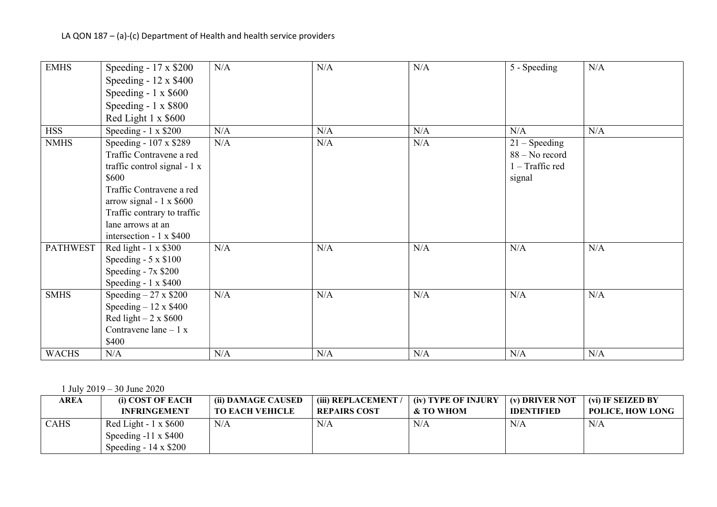| <b>EMHS</b>     | Speeding - $17 \times $200$    | N/A | N/A | N/A | 5 - Speeding             | N/A |
|-----------------|--------------------------------|-----|-----|-----|--------------------------|-----|
|                 | Speeding - $12 \times $400$    |     |     |     |                          |     |
|                 | Speeding - $1 \times $600$     |     |     |     |                          |     |
|                 | Speeding - 1 x \$800           |     |     |     |                          |     |
|                 | Red Light 1 x \$600            |     |     |     |                          |     |
| <b>HSS</b>      | Speeding - $1 \times $200$     | N/A | N/A | N/A | N/A                      | N/A |
| <b>NMHS</b>     | Speeding - $107 \times $289$   | N/A | N/A | N/A | $21 -$ Speeding          |     |
|                 | Traffic Contravene a red       |     |     |     | 88 – No record           |     |
|                 | traffic control signal - 1 x   |     |     |     | $1 - \text{Traffic red}$ |     |
|                 | \$600                          |     |     |     | signal                   |     |
|                 | Traffic Contravene a red       |     |     |     |                          |     |
|                 | arrow signal - $1 \times $600$ |     |     |     |                          |     |
|                 | Traffic contrary to traffic    |     |     |     |                          |     |
|                 | lane arrows at an              |     |     |     |                          |     |
|                 | intersection - 1 x \$400       |     |     |     |                          |     |
| <b>PATHWEST</b> | Red light - $1 \times $300$    | N/A | N/A | N/A | N/A                      | N/A |
|                 | Speeding $-5 \times $100$      |     |     |     |                          |     |
|                 | Speeding - $7x$ \$200          |     |     |     |                          |     |
|                 | Speeding - $1 \times $400$     |     |     |     |                          |     |
| <b>SMHS</b>     | Speeding $-27 \times $200$     | N/A | N/A | N/A | N/A                      | N/A |
|                 | Speeding $-12 \times $400$     |     |     |     |                          |     |
|                 | Red light $-2 \times $600$     |     |     |     |                          |     |
|                 | Contravene lane $-1 x$         |     |     |     |                          |     |
|                 | \$400                          |     |     |     |                          |     |
| <b>WACHS</b>    | N/A                            | N/A | N/A | N/A | N/A                      | N/A |

1 July 2019 – 30 June 2020

| AREA        | <b>(i) COST OF EACH</b>     | (ii) DAMAGE CAUSED     | (iii) REPLACEMENT   | (iv) TYPE OF INJURY | (v) DRIVER NOT    | (vi) IF SEIZED BY       |
|-------------|-----------------------------|------------------------|---------------------|---------------------|-------------------|-------------------------|
|             | <b>INFRINGEMENT</b>         | <b>TO EACH VEHICLE</b> | <b>REPAIRS COST</b> | & TO WHOM           | <b>IDENTIFIED</b> | <b>POLICE, HOW LONG</b> |
| <b>CAHS</b> | Red Light - $1 \times $600$ | N/A                    | N/A                 | N/A                 | N/A               | N/A                     |
|             | Speeding $-11 \times $400$  |                        |                     |                     |                   |                         |
|             | Speeding - $14 \times $200$ |                        |                     |                     |                   |                         |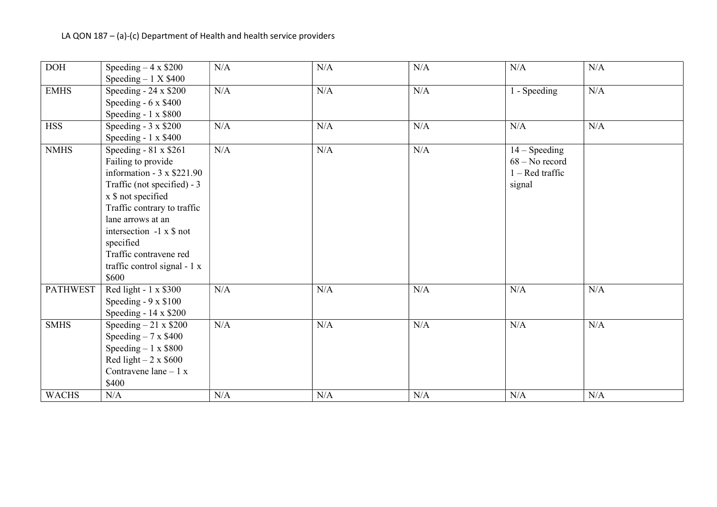| <b>DOH</b>      | Speeding $-4 \times $200$        | N/A | N/A | N/A       | N/A               | N/A       |
|-----------------|----------------------------------|-----|-----|-----------|-------------------|-----------|
|                 | Speeding $-1$ X \$400            |     |     |           |                   |           |
| EMHS            | Speeding - $24 \times $200$      | N/A | N/A | N/A       | 1 - Speeding      | N/A       |
|                 | Speeding $-6 \times $400$        |     |     |           |                   |           |
|                 | Speeding - $1 \times $800$       |     |     |           |                   |           |
| <b>HSS</b>      | Speeding - $3 \times $200$       | N/A | N/A | N/A       | N/A               | N/A       |
|                 | Speeding - $1 \times $400$       |     |     |           |                   |           |
| <b>NMHS</b>     | Speeding - 81 x \$261            | N/A | N/A | N/A       | $14 - Speeding$   |           |
|                 | Failing to provide               |     |     |           | $68 - No record$  |           |
|                 | information - $3 \times $221.90$ |     |     |           | $1 - Red traffic$ |           |
|                 | Traffic (not specified) - 3      |     |     |           | signal            |           |
|                 | x \$ not specified               |     |     |           |                   |           |
|                 | Traffic contrary to traffic      |     |     |           |                   |           |
|                 | lane arrows at an                |     |     |           |                   |           |
|                 | intersection $-1 \times$ \$ not  |     |     |           |                   |           |
|                 | specified                        |     |     |           |                   |           |
|                 | Traffic contravene red           |     |     |           |                   |           |
|                 | traffic control signal - 1 x     |     |     |           |                   |           |
|                 | \$600                            |     |     |           |                   |           |
| <b>PATHWEST</b> | Red light - $1 \times $300$      | N/A | N/A | N/A       | N/A               | N/A       |
|                 | Speeding $-9 \times $100$        |     |     |           |                   |           |
|                 | Speeding - 14 x \$200            |     |     |           |                   |           |
| <b>SMHS</b>     | Speeding $-21 \times $200$       | N/A | N/A | $\rm N/A$ | N/A               | N/A       |
|                 | Speeding $-7 \times $400$        |     |     |           |                   |           |
|                 | Speeding $-1 \times $800$        |     |     |           |                   |           |
|                 | Red light $-2 \times $600$       |     |     |           |                   |           |
|                 | Contravene lane $-1 x$           |     |     |           |                   |           |
|                 | \$400                            |     |     |           |                   |           |
| <b>WACHS</b>    | N/A                              | N/A | N/A | $\rm N/A$ | $\rm N/A$         | $\rm N/A$ |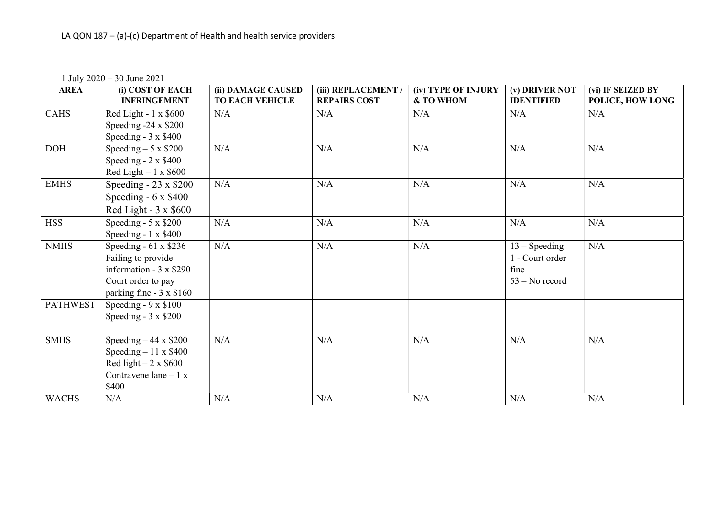1 July 2020 – 30 June 2021

| <b>AREA</b>     | (i) COST OF EACH<br><b>INFRINGEMENT</b> | (ii) DAMAGE CAUSED<br><b>TO EACH VEHICLE</b> | (iii) REPLACEMENT<br><b>REPAIRS COST</b> | (iv) TYPE OF INJURY<br>& TO WHOM | (v) DRIVER NOT<br><b>IDENTIFIED</b> | (vi) IF SEIZED BY<br>POLICE, HOW LONG |
|-----------------|-----------------------------------------|----------------------------------------------|------------------------------------------|----------------------------------|-------------------------------------|---------------------------------------|
| <b>CAHS</b>     | Red Light - $1 \times $600$             | N/A                                          | N/A                                      | N/A                              | N/A                                 | N/A                                   |
|                 | Speeding $-24 \times $200$              |                                              |                                          |                                  |                                     |                                       |
|                 | Speeding - $3 \times $400$              |                                              |                                          |                                  |                                     |                                       |
| DOH             | Speeding $-5 \times $200$               | N/A                                          | N/A                                      | N/A                              | N/A                                 | N/A                                   |
|                 | Speeding $-2 \times $400$               |                                              |                                          |                                  |                                     |                                       |
|                 | Red Light $-1 \times $600$              |                                              |                                          |                                  |                                     |                                       |
| <b>EMHS</b>     | Speeding - $23 \times $200$             | N/A                                          | N/A                                      | N/A                              | N/A                                 | N/A                                   |
|                 | Speeding $-6 \times $400$               |                                              |                                          |                                  |                                     |                                       |
|                 | Red Light - $3 \times $600$             |                                              |                                          |                                  |                                     |                                       |
| <b>HSS</b>      | Speeding - $5 \times $200$              | N/A                                          | N/A                                      | N/A                              | N/A                                 | N/A                                   |
|                 | Speeding - $1 \times $400$              |                                              |                                          |                                  |                                     |                                       |
| <b>NMHS</b>     | Speeding $-61 \times $236$              | N/A                                          | N/A                                      | N/A                              | $13 - Speeding$                     | N/A                                   |
|                 | Failing to provide                      |                                              |                                          |                                  | 1 - Court order                     |                                       |
|                 | information - $3 \times $290$           |                                              |                                          |                                  | fine                                |                                       |
|                 | Court order to pay                      |                                              |                                          |                                  | $53 - No record$                    |                                       |
|                 | parking fine - 3 x \$160                |                                              |                                          |                                  |                                     |                                       |
| <b>PATHWEST</b> | Speeding - $9 \times $100$              |                                              |                                          |                                  |                                     |                                       |
|                 | Speeding $-3 \times $200$               |                                              |                                          |                                  |                                     |                                       |
|                 |                                         |                                              |                                          |                                  |                                     |                                       |
| <b>SMHS</b>     | Speeding $-44 \times $200$              | N/A                                          | N/A                                      | N/A                              | N/A                                 | N/A                                   |
|                 | Speeding $-11 \times $400$              |                                              |                                          |                                  |                                     |                                       |
|                 | Red light $-2 \times $600$              |                                              |                                          |                                  |                                     |                                       |
|                 | Contravene lane $-1 x$                  |                                              |                                          |                                  |                                     |                                       |
|                 | \$400                                   |                                              |                                          |                                  |                                     |                                       |
| <b>WACHS</b>    | N/A                                     | N/A                                          | N/A                                      | N/A                              | N/A                                 | N/A                                   |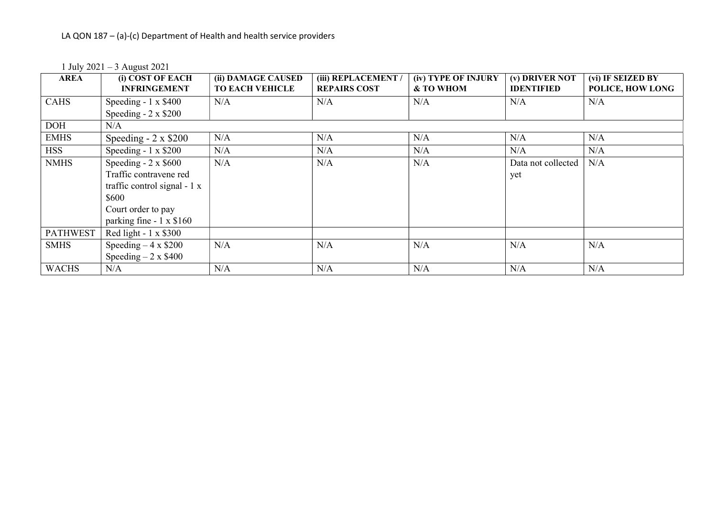1 July 2021 – 3 August 2021

| <b>AREA</b>     | (i) COST OF EACH<br><b>INFRINGEMENT</b> | (ii) DAMAGE CAUSED<br><b>TO EACH VEHICLE</b> | (iii) REPLACEMENT<br><b>REPAIRS COST</b> | (iv) TYPE OF INJURY<br>& TO WHOM | (v) DRIVER NOT<br><b>IDENTIFIED</b> | (vi) IF SEIZED BY<br>POLICE, HOW LONG |
|-----------------|-----------------------------------------|----------------------------------------------|------------------------------------------|----------------------------------|-------------------------------------|---------------------------------------|
| <b>CAHS</b>     | Speeding $-1 \times $400$               | N/A                                          | N/A                                      | N/A                              | N/A                                 | N/A                                   |
|                 | Speeding $-2 \times $200$               |                                              |                                          |                                  |                                     |                                       |
| <b>DOH</b>      | N/A                                     |                                              |                                          |                                  |                                     |                                       |
| <b>EMHS</b>     | Speeding $-2 \times $200$               | N/A                                          | N/A                                      | N/A                              | N/A                                 | N/A                                   |
| <b>HSS</b>      | Speeding - $1 \times $200$              | N/A                                          | N/A                                      | N/A                              | N/A                                 | N/A                                   |
| <b>NMHS</b>     | Speeding $-2 \times $600$               | N/A                                          | N/A                                      | N/A                              | Data not collected                  | N/A                                   |
|                 | Traffic contravene red                  |                                              |                                          |                                  | yet                                 |                                       |
|                 | traffic control signal $-1 x$           |                                              |                                          |                                  |                                     |                                       |
|                 | \$600                                   |                                              |                                          |                                  |                                     |                                       |
|                 | Court order to pay                      |                                              |                                          |                                  |                                     |                                       |
|                 | parking fine $-1 \times $160$           |                                              |                                          |                                  |                                     |                                       |
| <b>PATHWEST</b> | Red light - $1 \times $300$             |                                              |                                          |                                  |                                     |                                       |
| <b>SMHS</b>     | Speeding $-4 \times $200$               | N/A                                          | N/A                                      | N/A                              | N/A                                 | N/A                                   |
|                 | Speeding $-2 \times $400$               |                                              |                                          |                                  |                                     |                                       |
| <b>WACHS</b>    | N/A                                     | N/A                                          | N/A                                      | N/A                              | N/A                                 | N/A                                   |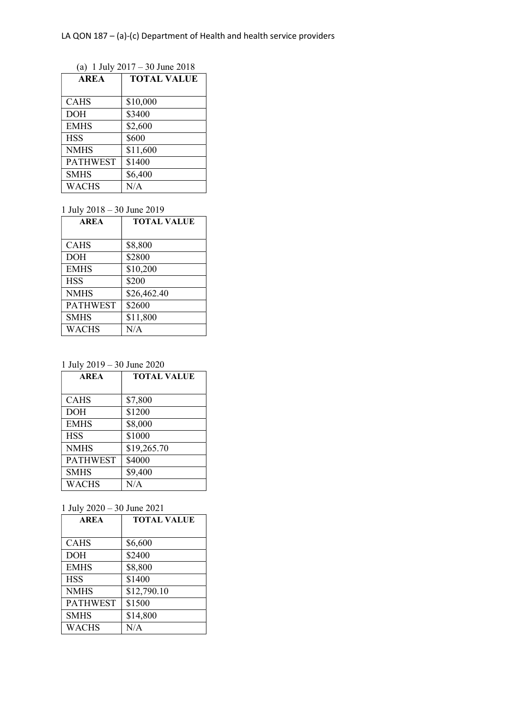(a) 1 July 2017 – 30 June 2018

| <b>AREA</b>     | <b>TOTAL VALUE</b> |  |
|-----------------|--------------------|--|
|                 |                    |  |
| <b>CAHS</b>     | \$10,000           |  |
| <b>DOH</b>      | \$3400             |  |
| <b>EMHS</b>     | \$2,600            |  |
| <b>HSS</b>      | \$600              |  |
| <b>NMHS</b>     | \$11,600           |  |
| <b>PATHWEST</b> | \$1400             |  |
| <b>SMHS</b>     | \$6,400            |  |
| <b>WACHS</b>    | N/A                |  |

1 July 2018 – 30 June 2019

| <b>AREA</b>     | <b>TOTAL VALUE</b> |
|-----------------|--------------------|
|                 |                    |
| <b>CAHS</b>     | \$8,800            |
| <b>DOH</b>      | \$2800             |
| <b>EMHS</b>     | \$10,200           |
| <b>HSS</b>      | \$200              |
| <b>NMHS</b>     | \$26,462.40        |
| <b>PATHWEST</b> | \$2600             |
| <b>SMHS</b>     | \$11,800           |
| <b>WACHS</b>    | N/A                |

1 July 2019 – 30 June 2020

| <b>AREA</b>     | <b>TOTAL VALUE</b> |
|-----------------|--------------------|
|                 |                    |
| <b>CAHS</b>     | \$7,800            |
| <b>DOH</b>      | \$1200             |
| <b>EMHS</b>     | \$8,000            |
| <b>HSS</b>      | \$1000             |
| <b>NMHS</b>     | \$19,265.70        |
| <b>PATHWEST</b> | \$4000             |
| <b>SMHS</b>     | \$9,400            |
| <b>WACHS</b>    | N/A                |

1 July 2020 – 30 June 2021

| <b>AREA</b>     | <b>TOTAL VALUE</b> |  |
|-----------------|--------------------|--|
|                 |                    |  |
| <b>CAHS</b>     | \$6,600            |  |
| <b>DOH</b>      | \$2400             |  |
| <b>EMHS</b>     | \$8,800            |  |
| <b>HSS</b>      | \$1400             |  |
| <b>NMHS</b>     | \$12,790.10        |  |
| <b>PATHWEST</b> | \$1500             |  |
| <b>SMHS</b>     | \$14,800           |  |
| <b>WACHS</b>    | N/A                |  |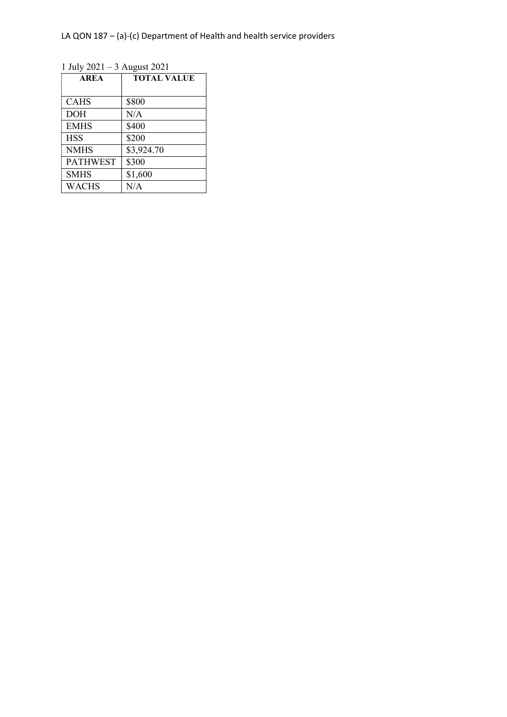LA QON 187 – (a)-(c) Department of Health and health service providers

1 July 2021 – 3 August 2021

| <b>AREA</b>     | <b>TOTAL VALUE</b> |
|-----------------|--------------------|
|                 |                    |
| <b>CAHS</b>     | \$800              |
| <b>DOH</b>      | N/A                |
| <b>EMHS</b>     | \$400              |
| <b>HSS</b>      | \$200              |
| <b>NMHS</b>     | \$3,924.70         |
| <b>PATHWEST</b> | \$300              |
| <b>SMHS</b>     | \$1,600            |
| <b>WACHS</b>    | N/A                |